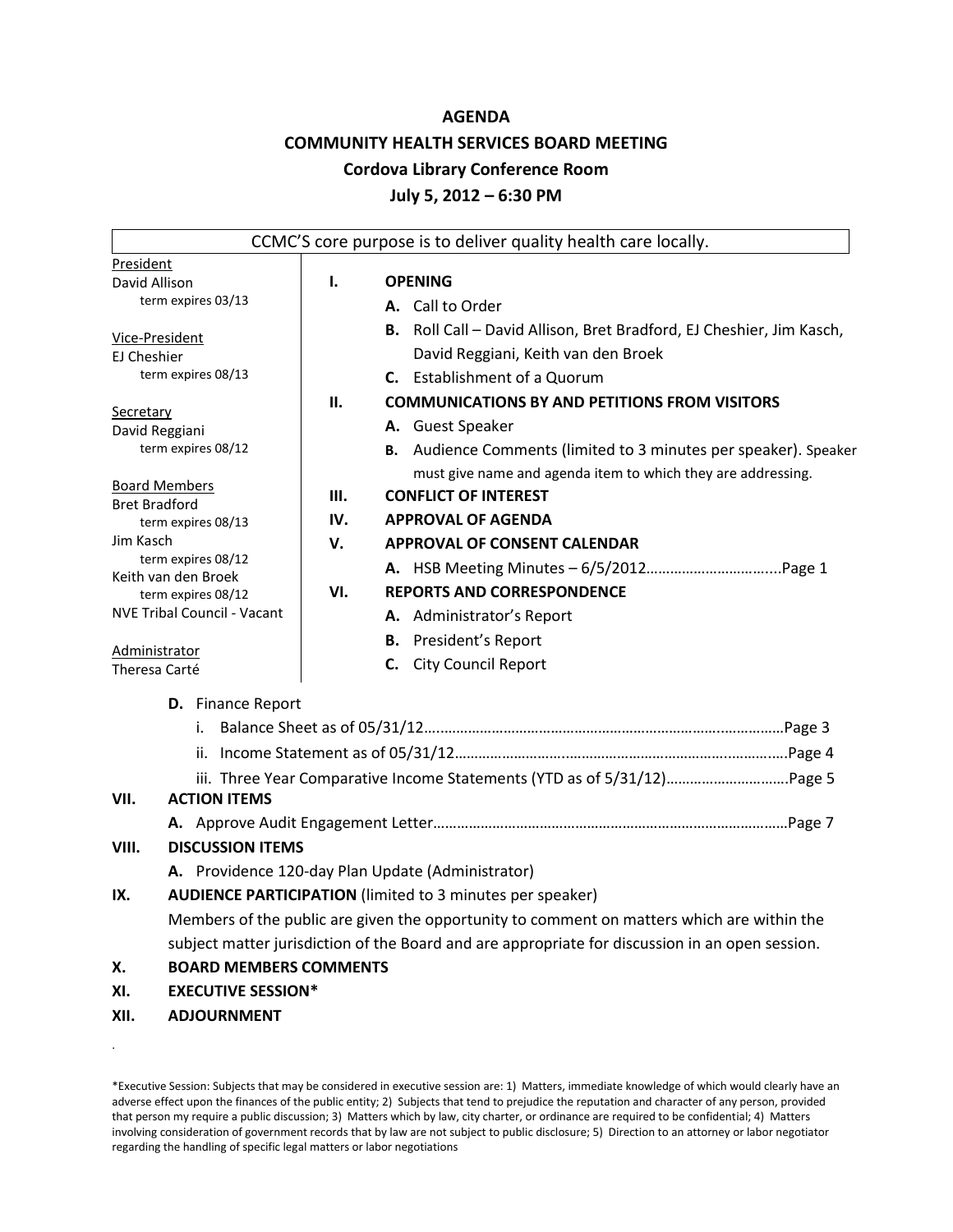#### **AGENDA**

#### **COMMUNITY HEALTH SERVICES BOARD MEETING**

#### **Cordova Library Conference Room**

#### **July 5, 2012 – 6:30 PM**

|                                            |                                                                         |     | CCMC'S core purpose is to deliver quality health care locally.                                  |  |  |  |  |
|--------------------------------------------|-------------------------------------------------------------------------|-----|-------------------------------------------------------------------------------------------------|--|--|--|--|
| President                                  |                                                                         |     |                                                                                                 |  |  |  |  |
| David Allison                              |                                                                         | Ι.  | <b>OPENING</b>                                                                                  |  |  |  |  |
| term expires 03/13                         |                                                                         |     | A. Call to Order                                                                                |  |  |  |  |
| Vice-President                             |                                                                         |     | B. Roll Call - David Allison, Bret Bradford, EJ Cheshier, Jim Kasch,                            |  |  |  |  |
| EJ Cheshier                                |                                                                         |     | David Reggiani, Keith van den Broek                                                             |  |  |  |  |
| term expires 08/13                         |                                                                         |     | C. Establishment of a Quorum                                                                    |  |  |  |  |
|                                            |                                                                         | Н.  | <b>COMMUNICATIONS BY AND PETITIONS FROM VISITORS</b>                                            |  |  |  |  |
| <b>Secretary</b><br>David Reggiani         |                                                                         |     | A. Guest Speaker                                                                                |  |  |  |  |
| term expires 08/12                         |                                                                         |     | B. Audience Comments (limited to 3 minutes per speaker). Speaker                                |  |  |  |  |
|                                            |                                                                         |     | must give name and agenda item to which they are addressing.                                    |  |  |  |  |
| <b>Board Members</b>                       |                                                                         | Ш.  | <b>CONFLICT OF INTEREST</b>                                                                     |  |  |  |  |
| <b>Bret Bradford</b><br>term expires 08/13 |                                                                         | IV. | <b>APPROVAL OF AGENDA</b>                                                                       |  |  |  |  |
| Jim Kasch                                  |                                                                         | V.  | <b>APPROVAL OF CONSENT CALENDAR</b>                                                             |  |  |  |  |
| term expires 08/12                         |                                                                         |     |                                                                                                 |  |  |  |  |
| Keith van den Broek<br>term expires 08/12  |                                                                         | VI. | <b>REPORTS AND CORRESPONDENCE</b>                                                               |  |  |  |  |
| <b>NVE Tribal Council - Vacant</b>         |                                                                         |     | A. Administrator's Report                                                                       |  |  |  |  |
|                                            |                                                                         |     | <b>B.</b> President's Report                                                                    |  |  |  |  |
| Administrator                              |                                                                         |     | C. City Council Report                                                                          |  |  |  |  |
| Theresa Carté                              |                                                                         |     |                                                                                                 |  |  |  |  |
|                                            | <b>D.</b> Finance Report                                                |     |                                                                                                 |  |  |  |  |
|                                            |                                                                         |     |                                                                                                 |  |  |  |  |
|                                            |                                                                         |     |                                                                                                 |  |  |  |  |
|                                            | iii. Three Year Comparative Income Statements (YTD as of 5/31/12)Page 5 |     |                                                                                                 |  |  |  |  |
| VII.                                       | <b>ACTION ITEMS</b>                                                     |     |                                                                                                 |  |  |  |  |
|                                            |                                                                         |     |                                                                                                 |  |  |  |  |
| VIII.                                      | <b>DISCUSSION ITEMS</b>                                                 |     |                                                                                                 |  |  |  |  |
|                                            |                                                                         |     | A. Providence 120-day Plan Update (Administrator)                                               |  |  |  |  |
| IX.                                        |                                                                         |     | <b>AUDIENCE PARTICIPATION</b> (limited to 3 minutes per speaker)                                |  |  |  |  |
|                                            |                                                                         |     | Members of the public are given the opportunity to comment on matters which are within the      |  |  |  |  |
|                                            |                                                                         |     | subject matter jurisdiction of the Board and are appropriate for discussion in an open session. |  |  |  |  |
| Х.                                         | <b>BOARD MEMBERS COMMENTS</b>                                           |     |                                                                                                 |  |  |  |  |
| XI.                                        | <b>EXECUTIVE SESSION*</b>                                               |     |                                                                                                 |  |  |  |  |
| XII.                                       | <b>ADJOURNMENT</b>                                                      |     |                                                                                                 |  |  |  |  |

\*Executive Session: Subjects that may be considered in executive session are: 1) Matters, immediate knowledge of which would clearly have an adverse effect upon the finances of the public entity; 2) Subjects that tend to prejudice the reputation and character of any person, provided that person my require a public discussion; 3) Matters which by law, city charter, or ordinance are required to be confidential; 4) Matters involving consideration of government records that by law are not subject to public disclosure; 5) Direction to an attorney or labor negotiator regarding the handling of specific legal matters or labor negotiations

.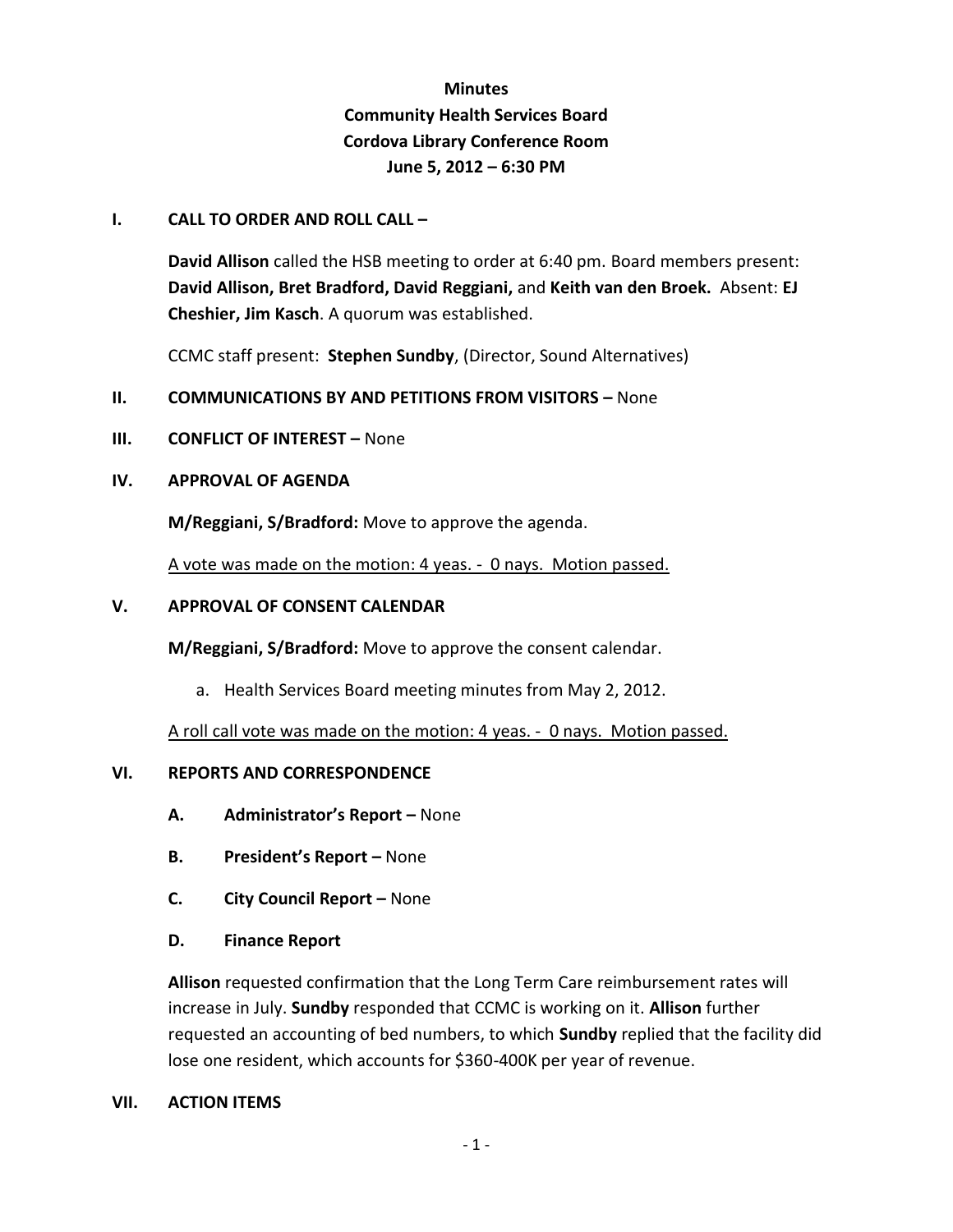## **Minutes Community Health Services Board Cordova Library Conference Room June 5, 2012 – 6:30 PM**

#### **I. CALL TO ORDER AND ROLL CALL –**

**David Allison** called the HSB meeting to order at 6:40 pm. Board members present: **David Allison, Bret Bradford, David Reggiani,** and **Keith van den Broek.** Absent: **EJ Cheshier, Jim Kasch**. A quorum was established.

CCMC staff present: **Stephen Sundby**, (Director, Sound Alternatives)

#### **II. COMMUNICATIONS BY AND PETITIONS FROM VISITORS – None**

**III. CONFLICT OF INTEREST –** None

#### **IV. APPROVAL OF AGENDA**

**M/Reggiani, S/Bradford:** Move to approve the agenda.

A vote was made on the motion: 4 yeas. - 0 nays. Motion passed.

#### **V. APPROVAL OF CONSENT CALENDAR**

**M/Reggiani, S/Bradford:** Move to approve the consent calendar.

a. Health Services Board meeting minutes from May 2, 2012.

A roll call vote was made on the motion: 4 yeas. - 0 nays. Motion passed.

#### **VI. REPORTS AND CORRESPONDENCE**

- **A. Administrator's Report –** None
- **B. President's Report –** None
- **C. City Council Report –** None
- **D. Finance Report**

**Allison** requested confirmation that the Long Term Care reimbursement rates will increase in July. **Sundby** responded that CCMC is working on it. **Allison** further requested an accounting of bed numbers, to which **Sundby** replied that the facility did lose one resident, which accounts for \$360-400K per year of revenue.

#### **VII. ACTION ITEMS**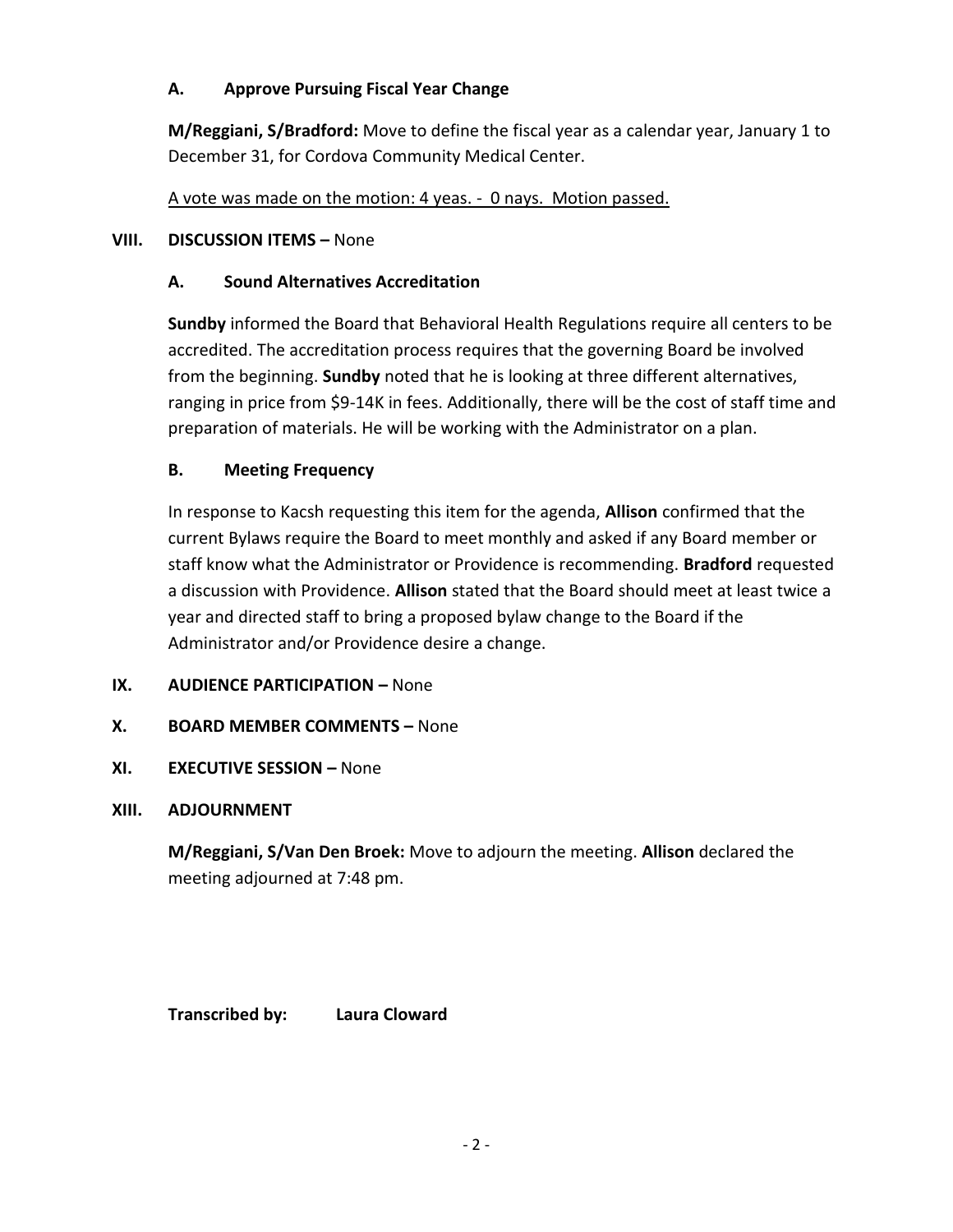## **A. Approve Pursuing Fiscal Year Change**

**M/Reggiani, S/Bradford:** Move to define the fiscal year as a calendar year, January 1 to December 31, for Cordova Community Medical Center.

A vote was made on the motion: 4 yeas. - 0 nays. Motion passed.

## **VIII.** DISCUSSION ITEMS - None

## **A. Sound Alternatives Accreditation**

**Sundby** informed the Board that Behavioral Health Regulations require all centers to be accredited. The accreditation process requires that the governing Board be involved from the beginning. **Sundby** noted that he is looking at three different alternatives, ranging in price from \$9-14K in fees. Additionally, there will be the cost of staff time and preparation of materials. He will be working with the Administrator on a plan.

## **B. Meeting Frequency**

In response to Kacsh requesting this item for the agenda, **Allison** confirmed that the current Bylaws require the Board to meet monthly and asked if any Board member or staff know what the Administrator or Providence is recommending. **Bradford** requested a discussion with Providence. **Allison** stated that the Board should meet at least twice a year and directed staff to bring a proposed bylaw change to the Board if the Administrator and/or Providence desire a change.

## **IX. AUDIENCE PARTICIPATION –** None

## **X. BOARD MEMBER COMMENTS –** None

### **XI. EXECUTIVE SESSION –** None

### **XIII. ADJOURNMENT**

**M/Reggiani, S/Van Den Broek:** Move to adjourn the meeting. **Allison** declared the meeting adjourned at 7:48 pm.

**Transcribed by: Laura Cloward**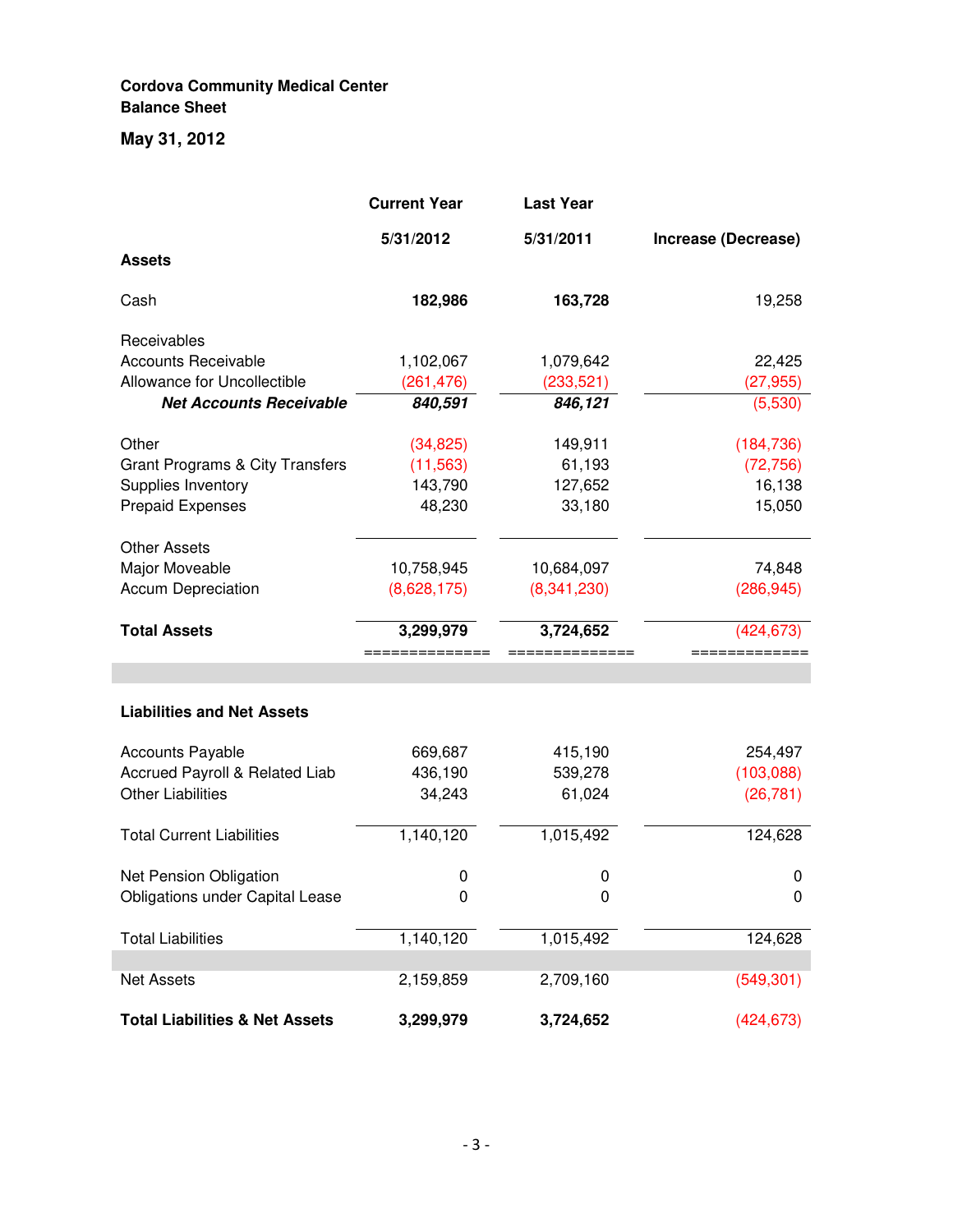## **Cordova Community Medical Center Balance Sheet**

## **May 31, 2012**

|                                            | <b>Current Year</b> | <b>Last Year</b> |                     |
|--------------------------------------------|---------------------|------------------|---------------------|
|                                            | 5/31/2012           | 5/31/2011        | Increase (Decrease) |
| <b>Assets</b>                              |                     |                  |                     |
| Cash                                       | 182,986             | 163,728          | 19,258              |
| Receivables                                |                     |                  |                     |
| <b>Accounts Receivable</b>                 | 1,102,067           | 1,079,642        | 22,425              |
| Allowance for Uncollectible                | (261, 476)          | (233, 521)       | (27, 955)           |
| <b>Net Accounts Receivable</b>             | 840,591             | 846,121          | (5,530)             |
| Other                                      | (34, 825)           | 149,911          | (184, 736)          |
| <b>Grant Programs &amp; City Transfers</b> | (11, 563)           | 61,193           | (72, 756)           |
| Supplies Inventory                         | 143,790             | 127,652          | 16,138              |
| <b>Prepaid Expenses</b>                    | 48,230              | 33,180           | 15,050              |
| <b>Other Assets</b>                        |                     |                  |                     |
| Major Moveable                             | 10,758,945          | 10,684,097       | 74,848              |
| <b>Accum Depreciation</b>                  | (8,628,175)         | (8,341,230)      | (286, 945)          |
| <b>Total Assets</b>                        | 3,299,979           | 3,724,652        | (424, 673)          |
|                                            |                     |                  |                     |
|                                            |                     |                  |                     |
| <b>Liabilities and Net Assets</b>          |                     |                  |                     |
| <b>Accounts Payable</b>                    | 669,687             | 415,190          | 254,497             |
| Accrued Payroll & Related Liab             | 436,190             | 539,278          | (103,088)           |
| <b>Other Liabilities</b>                   | 34,243              | 61,024           | (26, 781)           |
| <b>Total Current Liabilities</b>           | 1,140,120           | 1,015,492        | 124,628             |
| Net Pension Obligation                     | 0                   | 0                | 0                   |
| Obligations under Capital Lease            | 0                   | 0                | 0                   |
| <b>Total Liabilities</b>                   | 1,140,120           | 1,015,492        | 124,628             |
|                                            |                     |                  |                     |
| <b>Net Assets</b>                          | 2,159,859           | 2,709,160        | (549, 301)          |
| <b>Total Liabilities &amp; Net Assets</b>  | 3,299,979           | 3,724,652        | (424, 673)          |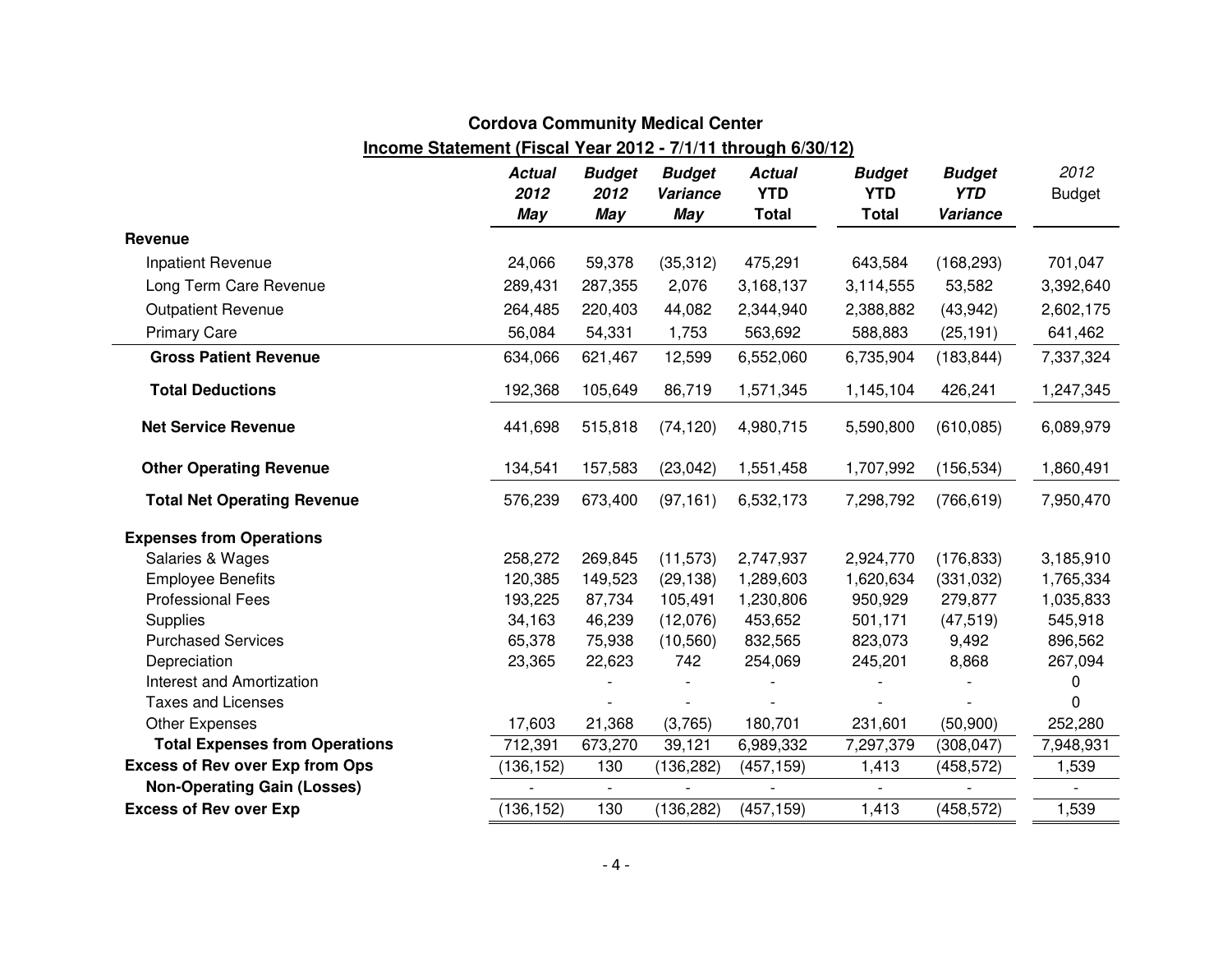# **Cordova Community Medical Center**

## **Income Statement (Fiscal Year 2012 - 7/1/11 through 6/30/12)***10*

|                                        | <b>Actual</b><br>2012<br><b>May</b> | <b>Budget</b><br>2012<br>May | <b>Budget</b><br>Variance<br>May | <b>Actual</b><br><b>YTD</b><br><b>Total</b> | <b>Budget</b><br><b>YTD</b><br><b>Total</b> | <b>Budget</b><br><b>YTD</b><br>Variance | 2012<br><b>Budget</b> |
|----------------------------------------|-------------------------------------|------------------------------|----------------------------------|---------------------------------------------|---------------------------------------------|-----------------------------------------|-----------------------|
| Revenue                                |                                     |                              |                                  |                                             |                                             |                                         |                       |
| Inpatient Revenue                      | 24,066                              | 59,378                       | (35, 312)                        | 475,291                                     | 643,584                                     | (168, 293)                              | 701,047               |
| Long Term Care Revenue                 | 289,431                             | 287,355                      | 2,076                            | 3,168,137                                   | 3,114,555                                   | 53,582                                  | 3,392,640             |
| <b>Outpatient Revenue</b>              | 264,485                             | 220,403                      | 44,082                           | 2,344,940                                   | 2,388,882                                   | (43, 942)                               | 2,602,175             |
| <b>Primary Care</b>                    | 56,084                              | 54,331                       | 1,753                            | 563,692                                     | 588,883                                     | (25, 191)                               | 641,462               |
| <b>Gross Patient Revenue</b>           | 634,066                             | 621,467                      | 12,599                           | 6,552,060                                   | 6,735,904                                   | (183, 844)                              | 7,337,324             |
| <b>Total Deductions</b>                | 192,368                             | 105,649                      | 86,719                           | 1,571,345                                   | 1,145,104                                   | 426,241                                 | 1,247,345             |
| <b>Net Service Revenue</b>             | 441,698                             | 515,818                      | (74, 120)                        | 4,980,715                                   | 5,590,800                                   | (610, 085)                              | 6,089,979             |
| <b>Other Operating Revenue</b>         | 134,541                             | 157,583                      | (23, 042)                        | 1,551,458                                   | 1,707,992                                   | (156, 534)                              | 1,860,491             |
| <b>Total Net Operating Revenue</b>     | 576,239                             | 673,400                      | (97, 161)                        | 6,532,173                                   | 7,298,792                                   | (766, 619)                              | 7,950,470             |
| <b>Expenses from Operations</b>        |                                     |                              |                                  |                                             |                                             |                                         |                       |
| Salaries & Wages                       | 258,272                             | 269,845                      | (11, 573)                        | 2,747,937                                   | 2,924,770                                   | (176, 833)                              | 3,185,910             |
| <b>Employee Benefits</b>               | 120,385                             | 149,523                      | (29, 138)                        | 1,289,603                                   | 1,620,634                                   | (331, 032)                              | 1,765,334             |
| <b>Professional Fees</b>               | 193,225                             | 87,734                       | 105,491                          | 1,230,806                                   | 950,929                                     | 279,877                                 | 1,035,833             |
| <b>Supplies</b>                        | 34,163                              | 46,239                       | (12,076)                         | 453,652                                     | 501,171                                     | (47, 519)                               | 545,918               |
| <b>Purchased Services</b>              | 65,378                              | 75,938                       | (10, 560)                        | 832,565                                     | 823,073                                     | 9,492                                   | 896,562               |
| Depreciation                           | 23,365                              | 22,623                       | 742                              | 254,069                                     | 245,201                                     | 8,868                                   | 267,094               |
| Interest and Amortization              |                                     |                              |                                  |                                             |                                             |                                         | 0                     |
| <b>Taxes and Licenses</b>              |                                     |                              |                                  |                                             |                                             |                                         | 0                     |
| Other Expenses                         | 17,603                              | 21,368                       | (3,765)                          | 180,701                                     | 231,601                                     | (50,900)                                | 252,280               |
| <b>Total Expenses from Operations</b>  | 712,391                             | 673,270                      | 39,121                           | 6,989,332                                   | 7,297,379                                   | (308, 047)                              | 7,948,931             |
| <b>Excess of Rev over Exp from Ops</b> | (136, 152)                          | 130                          | (136,282)                        | (457, 159)                                  | 1,413                                       | (458, 572)                              | 1,539                 |
| <b>Non-Operating Gain (Losses)</b>     |                                     | $\sim$                       |                                  |                                             |                                             |                                         |                       |
| <b>Excess of Rev over Exp</b>          | (136, 152)                          | 130                          | (136, 282)                       | (457, 159)                                  | 1,413                                       | (458, 572)                              | 1,539                 |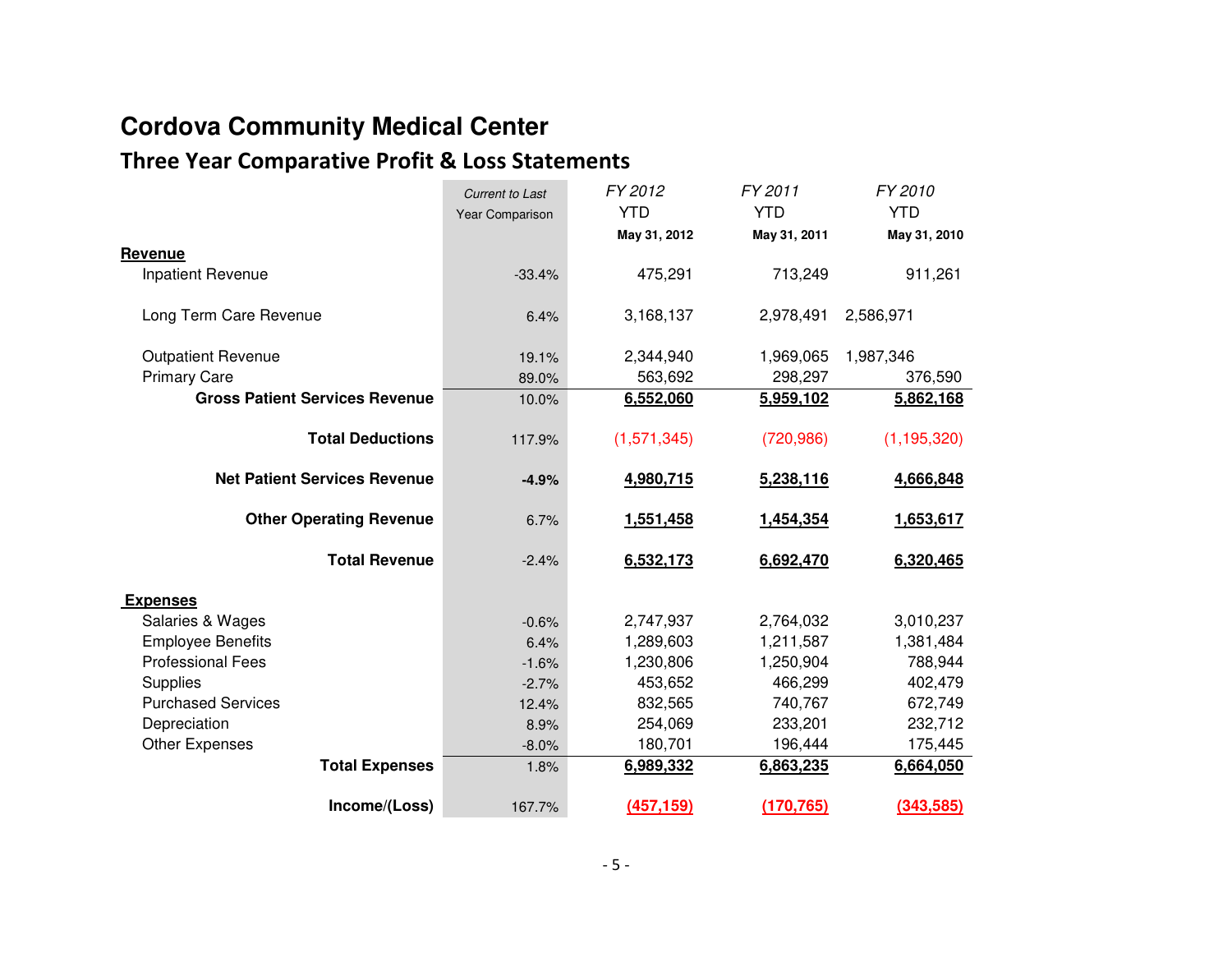# **Cordova Community Medical Center**

# **Three Year Comparative Profit & Loss Statements**

|                                       | <b>Current to Last</b> | FY 2012      | FY 2011      | FY 2010       |
|---------------------------------------|------------------------|--------------|--------------|---------------|
|                                       | Year Comparison        | <b>YTD</b>   | <b>YTD</b>   | <b>YTD</b>    |
|                                       |                        | May 31, 2012 | May 31, 2011 | May 31, 2010  |
| Revenue                               |                        |              |              |               |
| Inpatient Revenue                     | $-33.4%$               | 475,291      | 713,249      | 911,261       |
| Long Term Care Revenue                | 6.4%                   | 3,168,137    | 2,978,491    | 2,586,971     |
| <b>Outpatient Revenue</b>             | 19.1%                  | 2,344,940    | 1,969,065    | 1,987,346     |
| <b>Primary Care</b>                   | 89.0%                  | 563,692      | 298,297      | 376,590       |
| <b>Gross Patient Services Revenue</b> | 10.0%                  | 6,552,060    | 5,959,102    | 5,862,168     |
| <b>Total Deductions</b>               | 117.9%                 | (1,571,345)  | (720, 986)   | (1, 195, 320) |
| <b>Net Patient Services Revenue</b>   | $-4.9%$                | 4,980,715    | 5,238,116    | 4,666,848     |
| <b>Other Operating Revenue</b>        | 6.7%                   | 1,551,458    | 1,454,354    | 1,653,617     |
| <b>Total Revenue</b>                  | $-2.4%$                | 6,532,173    | 6,692,470    | 6,320,465     |
| <b>Expenses</b>                       |                        |              |              |               |
| Salaries & Wages                      | $-0.6%$                | 2,747,937    | 2,764,032    | 3,010,237     |
| <b>Employee Benefits</b>              | 6.4%                   | 1,289,603    | 1,211,587    | 1,381,484     |
| <b>Professional Fees</b>              | $-1.6%$                | 1,230,806    | 1,250,904    | 788,944       |
| Supplies                              | $-2.7%$                | 453,652      | 466,299      | 402,479       |
| <b>Purchased Services</b>             | 12.4%                  | 832,565      | 740,767      | 672,749       |
| Depreciation                          | 8.9%                   | 254,069      | 233,201      | 232,712       |
| <b>Other Expenses</b>                 | $-8.0%$                | 180,701      | 196,444      | 175,445       |
| <b>Total Expenses</b>                 | 1.8%                   | 6,989,332    | 6,863,235    | 6,664,050     |
| Income/(Loss)                         | 167.7%                 | (457, 159)   | (170, 765)   | (343,585)     |